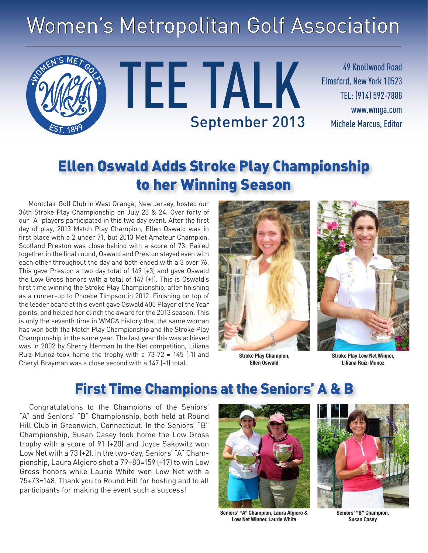# Women's Metropolitan Golf Association

TEE TALK

49 Knollwood Road Elmsford, New York 10523 TEL: (914) 592-7888 www.wmga.com September 2013 Michele Marcus, Editor

## Ellen Oswald Adds Stroke Play Championship to her Winning Season

Montclair Golf Club in West Orange, New Jersey, hosted our 36th Stroke Play Championship on July 23 & 24. Over forty of our "A" players participated in this two day event. After the first day of play, 2013 Match Play Champion, Ellen Oswald was in first place with a 2 under 71, but 2013 Met Amateur Champion, Scotland Preston was close behind with a score of 73. Paired together in the final round, Oswald and Preston stayed even with each other throughout the day and both ended with a 3 over 76. This gave Preston a two day total of 149 (+3) and gave Oswald the Low Gross honors with a total of 147 (+1). This is Oswald's first time winning the Stroke Play Championship, after finishing as a runner-up to Phoebe Timpson in 2012. Finishing on top of the leader board at this event gave Oswald 400 Player of the Year points, and helped her clinch the award for the 2013 season. This is only the seventh time in WMGA history that the same woman has won both the Match Play Championship and the Stroke Play Championship in the same year. The last year this was achieved was in 2002 by Sherry Herman In the Net competition, Liliana Ruiz-Munoz took home the trophy with a 73-72 = 145 (-1) and Cheryl Brayman was a close second with a 147 (+1) total.

**SOMEN'S MET GOLF** 

EST. <sup>1</sup>899



**Stroke Play Champion, Ellen Oswald**



**Stroke Play Low Net Winner, Liliana Ruiz-Munoz**

### **First Time Champions at the Seniors' A & B**

Congratulations to the Champions of the Seniors' "A" and Seniors' "B" Championship, both held at Round Hill Club in Greenwich, Connecticut. In the Seniors' "B" Championship, Susan Casey took home the Low Gross trophy with a score of 91 (+20) and Joyce Sakowitz won Low Net with a 73 (+2). In the two-day, Seniors' "A" Championship, Laura Algiero shot a 79+80=159 (+17) to win Low Gross honors while Laurie White won Low Net with a 75+73=148. Thank you to Round Hill for hosting and to all participants for making the event such a success!



**Seniors' "A" Champion, Laura Algiero & Low Net Winner, Laurie White**



**Seniors' "B" Champion, Susan Casey**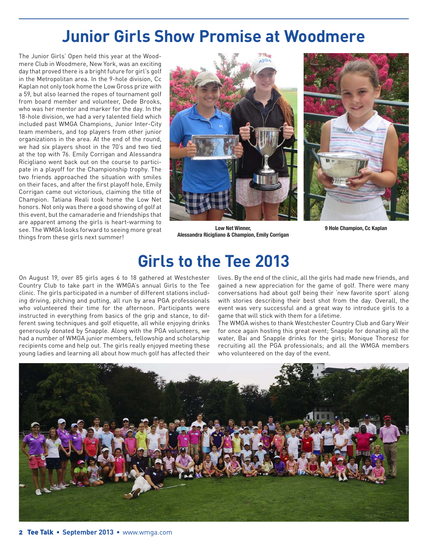## **Junior Girls Show Promise at Woodmere**

The Junior Girls' Open held this year at the Woodmere Club in Woodmere, New York, was an exciting day that proved there is a bright future for girl's golf in the Metropolitan area. In the 9-hole division, Cc Kaplan not only took home the Low Gross prize with a 59, but also learned the ropes of tournament golf from board member and volunteer, Dede Brooks, who was her mentor and marker for the day. In the 18-hole division, we had a very talented field which included past WMGA Champions, Junior Inter-City team members, and top players from other junior organizations in the area. At the end of the round, we had six players shoot in the 70's and two tied at the top with 76. Emily Corrigan and Alessandra Ricigliano went back out on the course to participate in a playoff for the Championship trophy. The two friends approached the situation with smiles on their faces, and after the first playoff hole, Emily Corrigan came out victorious, claiming the title of Champion. Tatiana Reali took home the Low Net honors. Not only was there a good showing of golf at this event, but the camaraderie and friendships that are apparent among the girls is heart-warming to see. The WMGA looks forward to seeing more great things from these girls next summer!





**Low Net Winner, Alessandra Ricigliano & Champion, Emily Corrigan**

**9 Hole Champion, Cc Kaplan**

## **Girls to the Tee 2013**

On August 19, over 85 girls ages 6 to 18 gathered at Westchester Country Club to take part in the WMGA's annual Girls to the Tee clinic. The girls participated in a number of different stations including driving, pitching and putting, all run by area PGA professionals who volunteered their time for the afternoon. Participants were instructed in everything from basics of the grip and stance, to different swing techniques and golf etiquette, all while enjoying drinks generously donated by Snapple. Along with the PGA volunteers, we had a number of WMGA junior members, fellowship and scholarship recipients come and help out. The girls really enjoyed meeting these young ladies and learning all about how much golf has affected their

lives. By the end of the clinic, all the girls had made new friends, and gained a new appreciation for the game of golf. There were many conversations had about golf being their 'new favorite sport' along with stories describing their best shot from the day. Overall, the event was very successful and a great way to introduce girls to a game that will stick with them for a lifetime.

The WMGA wishes to thank Westchester Country Club and Gary Weir for once again hosting this great event; Snapple for donating all the water, Bai and Snapple drinks for the girls; Monique Thoresz for recruiting all the PGA professionals; and all the WMGA members who volunteered on the day of the event.

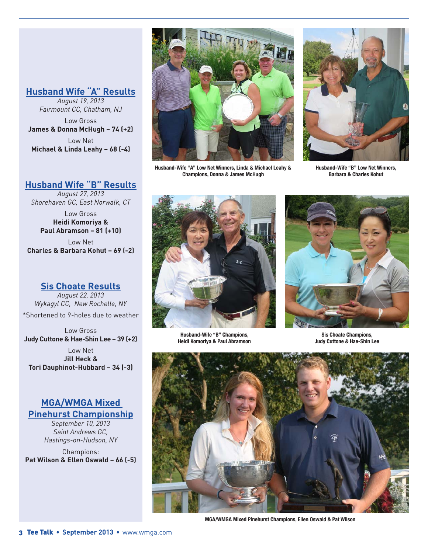#### **Husband Wife "A" Results**

*August 19, 2013 Fairmount CC, Chatham, NJ*

Low Gross **James & Donna McHugh – 74 (+2)** Low Net **Michael & Linda Leahy – 68 (-4)**

### **Husband Wife "B" Results**

*August 27, 2013 Shorehaven GC, East Norwalk, CT*

Low Gross **Heidi Komoriya & Paul Abramson – 81 (+10)**

Low Net **Charles & Barbara Kohut – 69 (-2)**

**Sis Choate Results**

*August 22, 2013 Wykagyl CC, New Rochelle, NY* \*Shortened to 9-holes due to weather

Low Gross **Judy Cuttone & Hae-Shin Lee – 39 (+2)**

Low Net **Jill Heck & Tori Dauphinot-Hubbard – 34 (-3)**

#### **MGA/WMGA Mixed Pinehurst Championship**

*September 10, 2013 Saint Andrews GC, Hastings-on-Hudson, NY*

Champions: **Pat Wilson & Ellen Oswald – 66 (-5)**



**Husband-Wife "A" Low Net Winners, Linda & Michael Leahy & Champions, Donna & James McHugh**



**Husband-Wife "B" Low Net Winners, Barbara & Charles Kohut** 



**Husband-Wife "B" Champions, Heidi Komoriya & Paul Abramson**



**Sis Choate Champions, Judy Cuttone & Hae-Shin Lee**



**MGA/WMGA Mixed Pinehurst Champions, Ellen Oswald & Pat Wilson**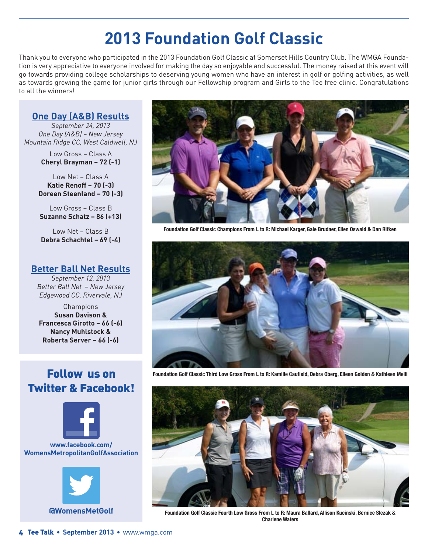## **2013 Foundation Golf Classic**

Thank you to everyone who participated in the 2013 Foundation Golf Classic at Somerset Hills Country Club. The WMGA Foundation is very appreciative to everyone involved for making the day so enjoyable and successful. The money raised at this event will go towards providing college scholarships to deserving young women who have an interest in golf or golfing activities, as well as towards growing the game for junior girls through our Fellowship program and Girls to the Tee free clinic. Congratulations to all the winners!

### **One Day (A&B) Results**

*September 24, 2013 One Day (A&B) – New Jersey Mountain Ridge CC, West Caldwell, NJ*

> Low Gross – Class A **Cheryl Brayman – 72 (-1)**

Low Net – Class A **Katie Renoff – 70 (-3) Doreen Steenland – 70 (-3)**

Low Gross – Class B **Suzanne Schatz – 86 (+13)**

Low Net – Class B **Debra Schachtel – 69 (-4)**

#### **Better Ball Net Results**

*September 12, 2013 Better Ball Net – New Jersey Edgewood CC, Rivervale, NJ*

Champions **Susan Davison & Francesca Girotto – 66 (-6) Nancy Muhlstock & Roberta Server – 66 (-6)**

### Follow us on Twitter & Facebook!



#### **www.facebook.com/ WomensMetropolitanGolfAssociation**





**Foundation Golf Classic Champions From L to R: Michael Karger, Gale Brudner, Ellen Oswald & Dan Rifken**



**Foundation Golf Classic Third Low Gross From L to R: Kamille Caufield, Debra Oberg, Elleen Golden & Kathleen Melli**



**Foundation Golf Classic Fourth Low Gross From L to R: Maura Ballard, Allison Kucinski, Bernice Slezak & Charlene Waters**